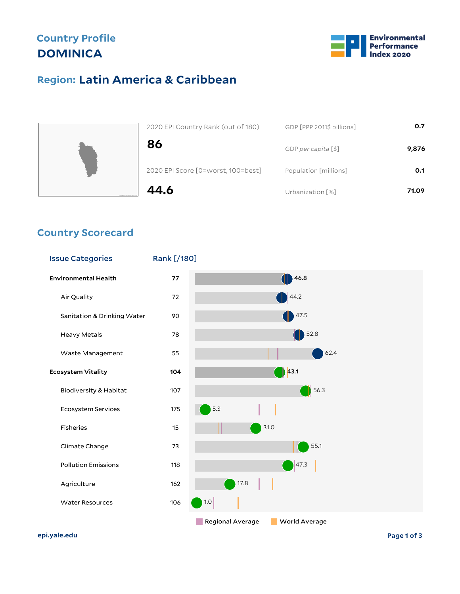# **Country Profile DOMINICA**



## **Latin America & Caribbean Region:**



| 2020 EPI Country Rank (out of 180) | GDP [PPP 2011\$ billions] | 0.7   |
|------------------------------------|---------------------------|-------|
| 86                                 | GDP per capita [\$]       | 9,876 |
| 2020 EPI Score [0=worst, 100=best] | Population [millions]     | 0.1   |
| 44.6                               | Urbanization [%]          | 71.09 |

#### **Country Scorecard**



**epi.yale.edu Page 1 of 3**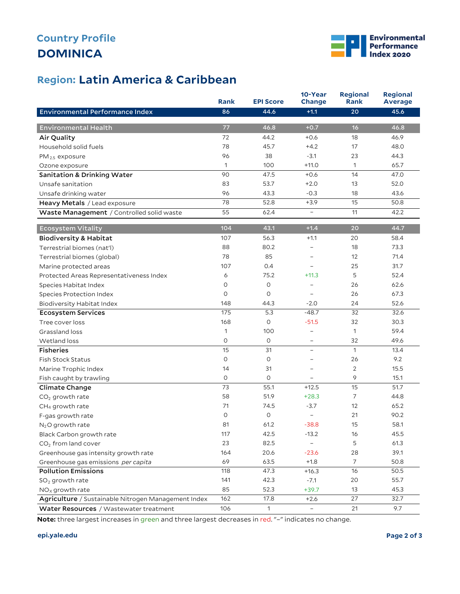# **DOMINICA Country Profile**



### **Latin America & Caribbean Region:**

|                                                     | <b>Rank</b>  | <b>EPI Score</b> | 10-Year<br>Change        | <b>Regional</b><br>Rank | <b>Regional</b><br><b>Average</b> |
|-----------------------------------------------------|--------------|------------------|--------------------------|-------------------------|-----------------------------------|
| Environmental Performance Index                     | 86           | 44.6             | $+1.1$                   | 20                      | 45.6                              |
|                                                     |              |                  |                          |                         |                                   |
| <b>Environmental Health</b>                         | 77           | 46.8             | $+0.7$                   | 16                      | 46.8                              |
| Air Quality                                         | 72           | 44.2             | $+0.6$                   | 18                      | 46.9                              |
| Household solid fuels                               | 78           | 45.7             | $+4.2$                   | 17                      | 48.0                              |
| $PM_{2.5}$ exposure                                 | 96           | 38               | $-3.1$                   | 23                      | 44.3                              |
| Ozone exposure                                      | 1            | 100              | $+11.0$                  | 1                       | 65.7                              |
| <b>Sanitation &amp; Drinking Water</b>              | 90           | 47.5             | $+0.6$                   | 14                      | 47.0                              |
| Unsafe sanitation                                   | 83           | 53.7             | $+2.0$                   | 13                      | 52.0                              |
| Unsafe drinking water                               | 96           | 43.3             | $-0.3$                   | 18                      | 43.6                              |
| Heavy Metals / Lead exposure                        | 78           | 52.8             | $+3.9$                   | 15                      | 50.8                              |
| Waste Management / Controlled solid waste           | 55           | 62.4             | $\qquad \qquad -$        | 11                      | 42.2                              |
| <b>Ecosystem Vitality</b>                           | 104          | 43.1             | $+1.4$                   | 20                      | 44.7                              |
| <b>Biodiversity &amp; Habitat</b>                   | 107          | 56.3             | $+1.1$                   | 20                      | 58.4                              |
| Terrestrial biomes (nat'l)                          | 88           | 80.2             | -                        | 18                      | 73.3                              |
| Terrestrial biomes (global)                         | 78           | 85               |                          | 12                      | 71.4                              |
| Marine protected areas                              | 107          | 0.4              |                          | 25                      | 31.7                              |
| Protected Areas Representativeness Index            | 6            | 75.2             | $+11.3$                  | 5                       | 52.4                              |
| Species Habitat Index                               | $\circ$      | $\circ$          | -                        | 26                      | 62.6                              |
| Species Protection Index                            | $\circ$      | $\circ$          |                          | 26                      | 67.3                              |
| Biodiversity Habitat Index                          | 148          | 44.3             | $-2.0$                   | 24                      | 52.6                              |
| <b>Ecosystem Services</b>                           | 175          | 5.3              | $-48.7$                  | 32                      | 32.6                              |
| Tree cover loss                                     | 168          | $\circ$          | $-51.5$                  | 32                      | 30.3                              |
| Grassland loss                                      | $\mathbf{1}$ | 100              | $\overline{\phantom{0}}$ | $\mathbf{1}$            | 59.4                              |
| Wetland loss                                        | $\circ$      | 0                | -                        | 32                      | 49.6                              |
| <b>Fisheries</b>                                    | 15           | 31               |                          | $\mathbf{1}$            | 13.4                              |
| <b>Fish Stock Status</b>                            | O            | 0                | -                        | 26                      | 9.2                               |
| Marine Trophic Index                                | 14           | 31               | -                        | 2                       | 15.5                              |
| Fish caught by trawling                             | 0            | 0                |                          | 9                       | 15.1                              |
| Climate Change                                      | 73           | 55.1             | $+12.5$                  | 15                      | 51.7                              |
| $CO2$ growth rate                                   | 58           | 51.9             | $+28.3$                  | 7                       | 44.8                              |
| CH <sub>4</sub> growth rate                         | 71           | 74.5             | $-3.7$                   | 12                      | 65.2                              |
| F-gas growth rate                                   | O            | $\circ$          | -                        | 21                      | 90.2                              |
| $N2O$ growth rate                                   | 81           | 61.2             | $-38.8$                  | 15                      | 58.1                              |
| Black Carbon growth rate                            | 117          | 42.5             | $-13.2$                  | 16                      | 45.5                              |
| CO <sub>2</sub> from land cover                     | 23           | 82.5             |                          | 5                       | 61.3                              |
| Greenhouse gas intensity growth rate                | 164          | 20.6             | $-23.6$                  | 28                      | 39.1                              |
| Greenhouse gas emissions per capita                 | 69           | 63.5             | $+1.8$                   | $\overline{7}$          | 50.8                              |
| <b>Pollution Emissions</b>                          | 118          | 47.3             | $+16.3$                  | 16                      | 50.5                              |
| $SO2$ growth rate                                   | 141          | 42.3             | $-7.1$                   | 20                      | 55.7                              |
| $NOx$ growth rate                                   | 85           | 52.3             | $+39.7$                  | 13                      | 45.3                              |
| Agriculture / Sustainable Nitrogen Management Index | 162          | 17.8             | $+2.6$                   | 27                      | 32.7                              |
| Water Resources / Wastewater treatment              | 106          | $\mathbf 1$      | $\overline{\phantom{a}}$ | 21                      | 9.7                               |

**Note:** three largest increases in green and three largest decreases in red. "–" indicates no change.

#### **epi.yale.edu Page 2 of 3**